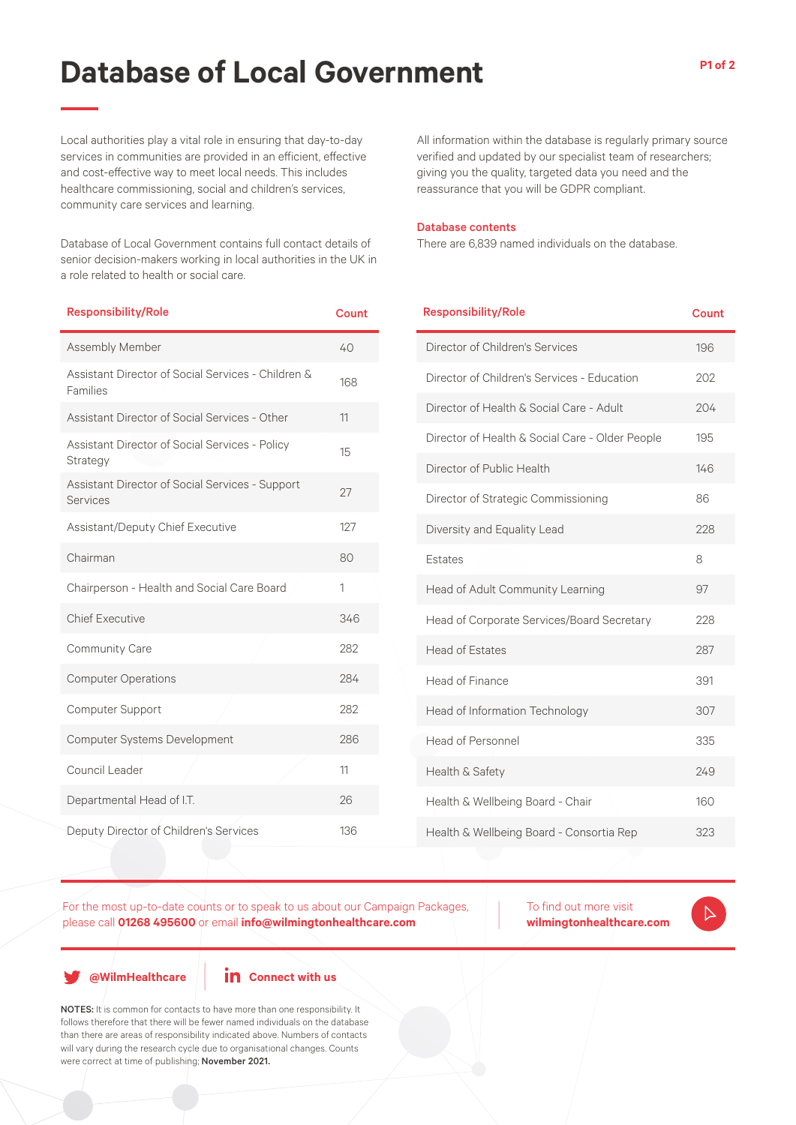# **Database of Local Government**

Local authorities play a vital role in ensuring that day-to-day services in communities are provided in an efficient, effective and cost-effective way to meet local needs. This includes healthcare commissioning, social and children's services, community care services and learning.

Database of Local Government contains full contact details of senior decision-makers working in local authorities in the UK in a role related to health or social care.

| <b>Responsibility/Role</b>                                     | <b>Count</b> |
|----------------------------------------------------------------|--------------|
| Assembly Member                                                | 40           |
| Assistant Director of Social Services - Children &<br>Families | 168          |
| Assistant Director of Social Services - Other                  | 11           |
| Assistant Director of Social Services - Policy<br>Strategy     | 15           |
| Assistant Director of Social Services - Support<br>Services    | 27           |
| Assistant/Deputy Chief Executive                               | 127          |
| Chairman                                                       | 80           |
| Chairperson - Health and Social Care Board                     | 1            |
| <b>Chief Executive</b>                                         | 346          |
| <b>Community Care</b>                                          | 282          |
| <b>Computer Operations</b>                                     | 284          |
| <b>Computer Support</b>                                        | 282          |
| Computer Systems Development                                   | 286          |
| Council Leader                                                 | 11           |
| Departmental Head of I.T.                                      | 26           |
| Deputy Director of Children's Services                         | 136          |

All information within the database is regularly primary source verified and updated by our specialist team of researchers; giving you the quality, targeted data you need and the reassurance that you will be GDPR compliant.

#### Database contents

**Responsibility/Role** 

There are 6,839 named individuals on the database.

| nesponsibility/ noie                            | Նսսու |
|-------------------------------------------------|-------|
| Director of Children's Services                 | 196   |
| Director of Children's Services - Education     | 202   |
| Director of Health & Social Care - Adult        | 204   |
| Director of Health & Social Care - Older People | 195   |
| Director of Public Health                       | 146   |
| Director of Strategic Commissioning             | 86    |
| Diversity and Equality Lead                     | 228   |
| Estates                                         | 8     |
| Head of Adult Community Learning                | 97    |
| Head of Corporate Services/Board Secretary      | 228   |
| <b>Head of Estates</b>                          | 287   |
| Head of Finance                                 | 391   |
| Head of Information Technology                  | 307   |
| <b>Head of Personnel</b>                        | 335   |
| Health & Safety                                 | 249   |
| Health & Wellbeing Board - Chair                | 160   |
| Health & Wellbeing Board - Consortia Rep        | 323   |

For the most up-to-date counts or to speak to us about our Campaign Packages, please call **01268 495600** or email **info@wilmingtonhealthcare.com**

To find out more visit **wilmingtonhealthcare.com**

**@WilmHealthcare**

## **in** Connect with us

NOTES: It is common for contacts to have more than one responsibility. It follows therefore that there will be fewer named individuals on the database than there are areas of responsibility indicated above. Numbers of contacts will vary during the research cycle due to organisational changes. Counts were correct at time of publishing; November 2021.